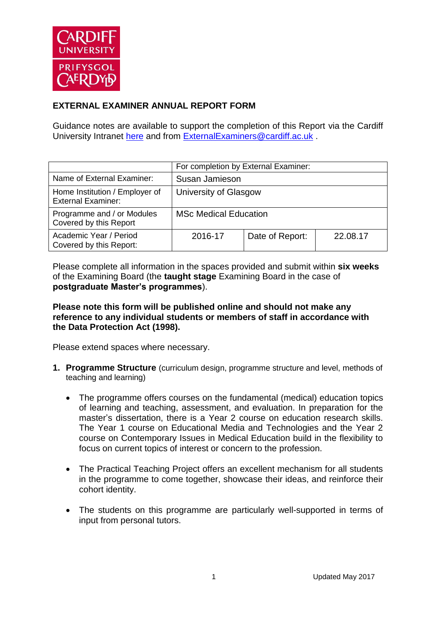

# **EXTERNAL EXAMINER ANNUAL REPORT FORM**

Guidance notes are available to support the completion of this Report via the Cardiff University Intranet [here](https://intranet.cardiff.ac.uk/staff/teaching-and-supporting-students/exams-and-assessment/exam-boards-and-external-examiners/for-current-external-examiners/external-examiners-reports) and from [ExternalExaminers@cardiff.ac.uk](mailto:ExternalExaminers@cardiff.ac.uk) .

|                                                             | For completion by External Examiner: |                 |          |
|-------------------------------------------------------------|--------------------------------------|-----------------|----------|
| Name of External Examiner:                                  | Susan Jamieson                       |                 |          |
| Home Institution / Employer of<br><b>External Examiner:</b> | University of Glasgow                |                 |          |
| Programme and / or Modules<br>Covered by this Report        | <b>MSc Medical Education</b>         |                 |          |
| Academic Year / Period<br>Covered by this Report:           | 2016-17                              | Date of Report: | 22.08.17 |

Please complete all information in the spaces provided and submit within **six weeks** of the Examining Board (the **taught stage** Examining Board in the case of **postgraduate Master's programmes**).

### **Please note this form will be published online and should not make any reference to any individual students or members of staff in accordance with the Data Protection Act (1998).**

Please extend spaces where necessary.

- **1. Programme Structure** (curriculum design, programme structure and level, methods of teaching and learning)
	- The programme offers courses on the fundamental (medical) education topics of learning and teaching, assessment, and evaluation. In preparation for the master's dissertation, there is a Year 2 course on education research skills. The Year 1 course on Educational Media and Technologies and the Year 2 course on Contemporary Issues in Medical Education build in the flexibility to focus on current topics of interest or concern to the profession.
	- The Practical Teaching Project offers an excellent mechanism for all students in the programme to come together, showcase their ideas, and reinforce their cohort identity.
	- The students on this programme are particularly well-supported in terms of input from personal tutors.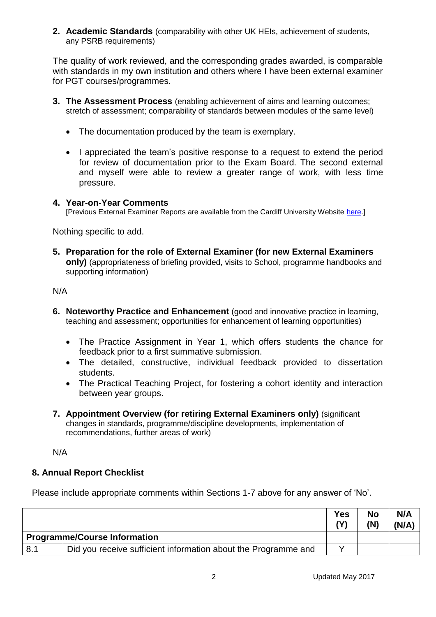**2. Academic Standards** (comparability with other UK HEIs, achievement of students, any PSRB requirements)

The quality of work reviewed, and the corresponding grades awarded, is comparable with standards in my own institution and others where I have been external examiner for PGT courses/programmes.

- **3. The Assessment Process** (enabling achievement of aims and learning outcomes; stretch of assessment; comparability of standards between modules of the same level)
	- The documentation produced by the team is exemplary.
	- I appreciated the team's positive response to a request to extend the period for review of documentation prior to the Exam Board. The second external and myself were able to review a greater range of work, with less time pressure.

#### **4. Year-on-Year Comments**

[Previous External Examiner Reports are available from the Cardiff University Website [here.](https://www.cardiff.ac.uk/public-information/quality-and-standards/external-examiner-reports)]

Nothing specific to add.

**5. Preparation for the role of External Examiner (for new External Examiners only)** (appropriateness of briefing provided, visits to School, programme handbooks and supporting information)

#### N/A

- **6. Noteworthy Practice and Enhancement** (good and innovative practice in learning, teaching and assessment; opportunities for enhancement of learning opportunities)
	- The Practice Assignment in Year 1, which offers students the chance for feedback prior to a first summative submission.
	- The detailed, constructive, individual feedback provided to dissertation students.
	- The Practical Teaching Project, for fostering a cohort identity and interaction between year groups.
- **7. Appointment Overview (for retiring External Examiners only)** (significant changes in standards, programme/discipline developments, implementation of recommendations, further areas of work)

N/A

## **8. Annual Report Checklist**

Please include appropriate comments within Sections 1-7 above for any answer of 'No'.

|                                     |                                                                | Yes | No<br>(N) | N/A<br>(N/A) |
|-------------------------------------|----------------------------------------------------------------|-----|-----------|--------------|
| <b>Programme/Course Information</b> |                                                                |     |           |              |
| 8.1                                 | Did you receive sufficient information about the Programme and |     |           |              |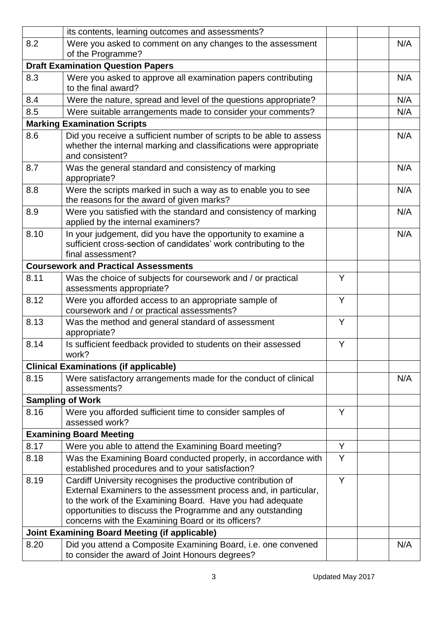|                                                      | its contents, learning outcomes and assessments?                                                                                                                                                                                                                                                                  |   |  |     |
|------------------------------------------------------|-------------------------------------------------------------------------------------------------------------------------------------------------------------------------------------------------------------------------------------------------------------------------------------------------------------------|---|--|-----|
| 8.2                                                  | Were you asked to comment on any changes to the assessment<br>of the Programme?                                                                                                                                                                                                                                   |   |  | N/A |
|                                                      | <b>Draft Examination Question Papers</b>                                                                                                                                                                                                                                                                          |   |  |     |
| 8.3                                                  | Were you asked to approve all examination papers contributing<br>to the final award?                                                                                                                                                                                                                              |   |  | N/A |
| 8.4                                                  | Were the nature, spread and level of the questions appropriate?                                                                                                                                                                                                                                                   |   |  | N/A |
| 8.5                                                  | Were suitable arrangements made to consider your comments?                                                                                                                                                                                                                                                        |   |  | N/A |
|                                                      | <b>Marking Examination Scripts</b>                                                                                                                                                                                                                                                                                |   |  |     |
| 8.6                                                  | Did you receive a sufficient number of scripts to be able to assess<br>whether the internal marking and classifications were appropriate<br>and consistent?                                                                                                                                                       |   |  | N/A |
| 8.7                                                  | Was the general standard and consistency of marking<br>appropriate?                                                                                                                                                                                                                                               |   |  | N/A |
| 8.8                                                  | Were the scripts marked in such a way as to enable you to see<br>the reasons for the award of given marks?                                                                                                                                                                                                        |   |  | N/A |
| 8.9                                                  | Were you satisfied with the standard and consistency of marking<br>applied by the internal examiners?                                                                                                                                                                                                             |   |  | N/A |
| 8.10                                                 | In your judgement, did you have the opportunity to examine a<br>sufficient cross-section of candidates' work contributing to the<br>final assessment?                                                                                                                                                             |   |  | N/A |
|                                                      | <b>Coursework and Practical Assessments</b>                                                                                                                                                                                                                                                                       |   |  |     |
| 8.11                                                 | Was the choice of subjects for coursework and / or practical<br>assessments appropriate?                                                                                                                                                                                                                          | Y |  |     |
| 8.12                                                 | Were you afforded access to an appropriate sample of<br>coursework and / or practical assessments?                                                                                                                                                                                                                | Y |  |     |
| 8.13                                                 | Was the method and general standard of assessment<br>appropriate?                                                                                                                                                                                                                                                 | Y |  |     |
| 8.14                                                 | Is sufficient feedback provided to students on their assessed<br>work?                                                                                                                                                                                                                                            | Y |  |     |
|                                                      | <b>Clinical Examinations (if applicable)</b>                                                                                                                                                                                                                                                                      |   |  |     |
| 8.15                                                 | Were satisfactory arrangements made for the conduct of clinical<br>assessments?                                                                                                                                                                                                                                   |   |  | N/A |
|                                                      | <b>Sampling of Work</b>                                                                                                                                                                                                                                                                                           |   |  |     |
| 8.16                                                 | Were you afforded sufficient time to consider samples of<br>assessed work?                                                                                                                                                                                                                                        | Y |  |     |
|                                                      | <b>Examining Board Meeting</b>                                                                                                                                                                                                                                                                                    |   |  |     |
| 8.17                                                 | Were you able to attend the Examining Board meeting?                                                                                                                                                                                                                                                              | Y |  |     |
| 8.18                                                 | Was the Examining Board conducted properly, in accordance with<br>established procedures and to your satisfaction?                                                                                                                                                                                                | Y |  |     |
| 8.19                                                 | Cardiff University recognises the productive contribution of<br>External Examiners to the assessment process and, in particular,<br>to the work of the Examining Board. Have you had adequate<br>opportunities to discuss the Programme and any outstanding<br>concerns with the Examining Board or its officers? | Y |  |     |
| <b>Joint Examining Board Meeting (if applicable)</b> |                                                                                                                                                                                                                                                                                                                   |   |  |     |
| 8.20                                                 | Did you attend a Composite Examining Board, i.e. one convened<br>to consider the award of Joint Honours degrees?                                                                                                                                                                                                  |   |  | N/A |